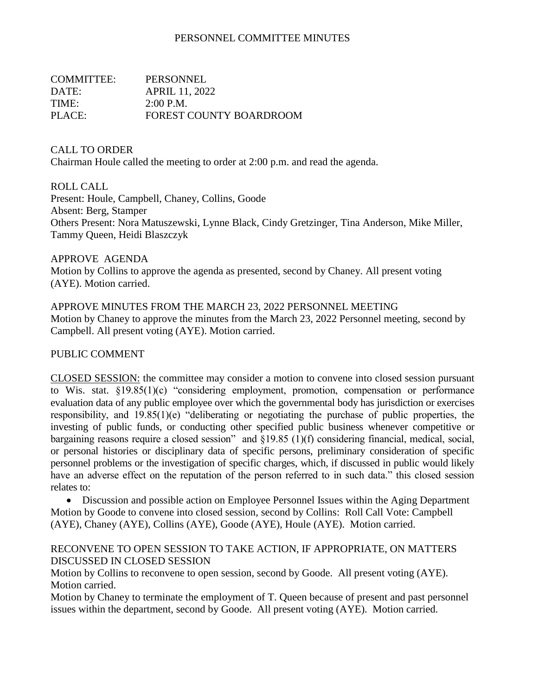## PERSONNEL COMMITTEE MINUTES

| COMMITTEE: | PERSONNEL                      |
|------------|--------------------------------|
| DATE:      | APRIL 11, 2022                 |
| TIME:      | $2:00$ P.M.                    |
| PLACE:     | <b>FOREST COUNTY BOARDROOM</b> |

CALL TO ORDER

Chairman Houle called the meeting to order at 2:00 p.m. and read the agenda.

ROLL CALL

Present: Houle, Campbell, Chaney, Collins, Goode Absent: Berg, Stamper Others Present: Nora Matuszewski, Lynne Black, Cindy Gretzinger, Tina Anderson, Mike Miller, Tammy Queen, Heidi Blaszczyk

APPROVE AGENDA

Motion by Collins to approve the agenda as presented, second by Chaney. All present voting (AYE). Motion carried.

APPROVE MINUTES FROM THE MARCH 23, 2022 PERSONNEL MEETING Motion by Chaney to approve the minutes from the March 23, 2022 Personnel meeting, second by Campbell. All present voting (AYE). Motion carried.

PUBLIC COMMENT

CLOSED SESSION: the committee may consider a motion to convene into closed session pursuant to Wis. stat. §19.85(1)(c) "considering employment, promotion, compensation or performance evaluation data of any public employee over which the governmental body has jurisdiction or exercises responsibility, and 19.85(1)(e) "deliberating or negotiating the purchase of public properties, the investing of public funds, or conducting other specified public business whenever competitive or bargaining reasons require a closed session" and §19.85 (1)(f) considering financial, medical, social, or personal histories or disciplinary data of specific persons, preliminary consideration of specific personnel problems or the investigation of specific charges, which, if discussed in public would likely have an adverse effect on the reputation of the person referred to in such data." this closed session relates to:

• Discussion and possible action on Employee Personnel Issues within the Aging Department Motion by Goode to convene into closed session, second by Collins: Roll Call Vote: Campbell (AYE), Chaney (AYE), Collins (AYE), Goode (AYE), Houle (AYE). Motion carried.

RECONVENE TO OPEN SESSION TO TAKE ACTION, IF APPROPRIATE, ON MATTERS DISCUSSED IN CLOSED SESSION

Motion by Collins to reconvene to open session, second by Goode. All present voting (AYE). Motion carried.

Motion by Chaney to terminate the employment of T. Queen because of present and past personnel issues within the department, second by Goode. All present voting (AYE). Motion carried.